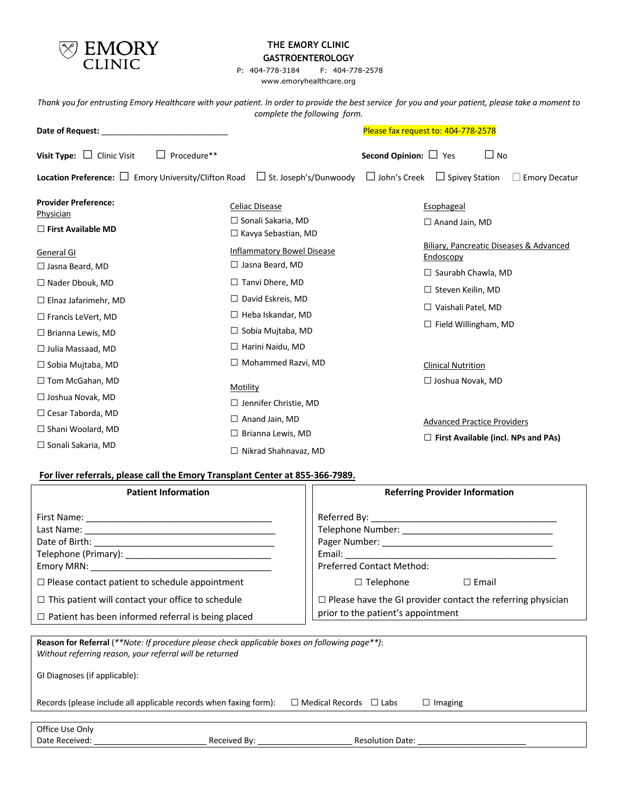

## **THE EMORY CLINIC GASTROENTEROLOGY**

P: 404-778-3184 F: 404-778-2578 www.emoryhealthcare.org

*Thank you for entrusting Emory Healthcare with your patient. In order to provide the best service for you and your patient, please take a moment to complete the following form.*

| Date of Request:                                                             |             | Please fax request to: 404-778-2578                                                           |                                              |                                                                                  |
|------------------------------------------------------------------------------|-------------|-----------------------------------------------------------------------------------------------|----------------------------------------------|----------------------------------------------------------------------------------|
| Visit Type: $\Box$<br><b>Clinic Visit</b>                                    | Procedure** |                                                                                               | Second Opinion: $\Box$ Yes                   | $\Box$ No                                                                        |
|                                                                              |             | <b>Location Preference:</b> $\Box$ Emory University/Clifton Road $\Box$ St. Joseph's/Dunwoody | $\Box$ Spivey Station<br>$\Box$ John's Creek | <b>Emory Decatur</b>                                                             |
| <b>Provider Preference:</b><br><b>Physician</b><br>$\Box$ First Available MD |             | Celiac Disease<br>$\Box$ Sonali Sakaria, MD<br>$\Box$ Kavya Sebastian, MD                     | Esophageal<br>$\Box$ Anand Jain, MD          |                                                                                  |
| General GI<br>$\Box$ Jasna Beard, MD                                         |             | <b>Inflammatory Bowel Disease</b><br>$\Box$ Jasna Beard, MD                                   | Endoscopy<br>$\Box$ Saurabh Chawla, MD       | Biliary, Pancreatic Diseases & Advanced                                          |
| $\Box$ Nader Dbouk, MD<br>$\Box$ Elnaz Jafarimehr, MD                        |             | $\Box$ Tanvi Dhere, MD<br>$\Box$ David Eskreis, MD                                            | $\Box$ Steven Keilin, MD                     |                                                                                  |
| $\Box$ Francis LeVert, MD<br>$\Box$ Brianna Lewis, MD                        |             | $\Box$ Heba Iskandar, MD<br>$\Box$ Sobia Mujtaba, MD                                          | $\Box$ Vaishali Patel, MD                    | $\Box$ Field Willingham, MD                                                      |
| $\Box$ Julia Massaad, MD<br>$\Box$ Sobia Mujtaba, MD                         |             | $\Box$ Harini Naidu, MD<br>$\Box$ Mohammed Razvi, MD                                          | <b>Clinical Nutrition</b>                    |                                                                                  |
| $\Box$ Tom McGahan, MD<br>$\Box$ Joshua Novak, MD                            | Motility    | $\Box$ Jennifer Christie, MD                                                                  | $\Box$ Joshua Novak, MD                      |                                                                                  |
| $\Box$ Cesar Taborda, MD<br>$\Box$ Shani Woolard, MD                         |             | $\Box$ Anand Jain, MD<br>$\Box$ Brianna Lewis, MD                                             |                                              | <b>Advanced Practice Providers</b><br>$\Box$ First Available (incl. NPs and PAs) |
| $\Box$ Sonali Sakaria, MD                                                    |             | $\Box$ Million of Claudian and ALAM                                                           |                                              |                                                                                  |

### **For liver referrals, please call the Emory Transplant Center at 855-366-7989.**

Date Received: \_\_\_\_\_\_\_\_\_\_\_\_\_\_\_\_\_\_\_\_\_\_\_\_\_ Received By: \_\_\_\_\_\_\_\_\_\_\_\_\_\_\_\_\_\_\_\_\_ Resolution Date: \_\_\_\_\_\_\_\_\_\_\_\_\_\_\_\_\_\_\_\_\_\_\_\_

| <b>Patient Information</b>                                                                                                                                | <b>Referring Provider Information</b>                                                                    |  |  |
|-----------------------------------------------------------------------------------------------------------------------------------------------------------|----------------------------------------------------------------------------------------------------------|--|--|
|                                                                                                                                                           | <b>Preferred Contact Method:</b>                                                                         |  |  |
| $\Box$ Please contact patient to schedule appointment                                                                                                     | $\Box$ Email<br>$\Box$ Telephone                                                                         |  |  |
| $\Box$ This patient will contact your office to schedule<br>$\Box$ Patient has been informed referral is being placed                                     | $\Box$ Please have the GI provider contact the referring physician<br>prior to the patient's appointment |  |  |
|                                                                                                                                                           |                                                                                                          |  |  |
| Reason for Referral (**Note: If procedure please check applicable boxes on following page**):<br>Without referring reason, your referral will be returned |                                                                                                          |  |  |

□ Nikrad Shahnavaz, MD

| GI Diagnoses (if applicable):                                     |                                    |                |  |
|-------------------------------------------------------------------|------------------------------------|----------------|--|
| Records (please include all applicable records when faxing form): | $\Box$ Medical Records $\Box$ Labs | $\Box$ Imaging |  |
|                                                                   |                                    |                |  |
| Office Use Only                                                   |                                    |                |  |